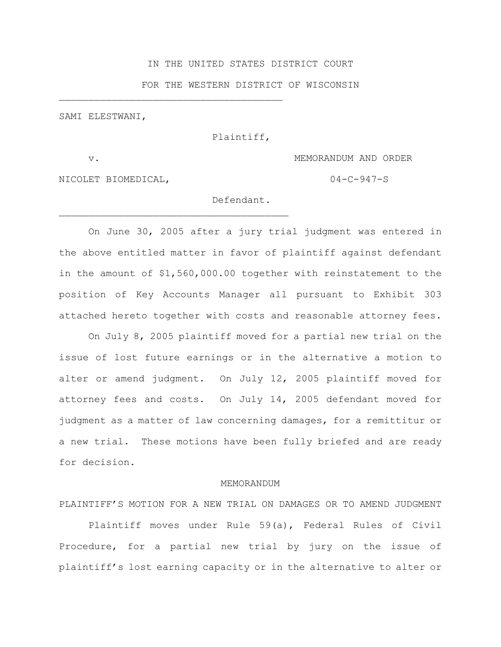### IN THE UNITED STATES DISTRICT COURT

#### FOR THE WESTERN DISTRICT OF WISCONSIN

SAMI ELESTWANI,

 $\mathcal{L}_\text{max}$ 

 $\mathcal{L}_\text{max}$  and  $\mathcal{L}_\text{max}$  and  $\mathcal{L}_\text{max}$ 

Plaintiff,

v. MEMORANDUM AND ORDER

NICOLET BIOMEDICAL,  $04-C-947-S$ 

# Defendant.

On June 30, 2005 after a jury trial judgment was entered in the above entitled matter in favor of plaintiff against defendant in the amount of \$1,560,000.00 together with reinstatement to the position of Key Accounts Manager all pursuant to Exhibit 303 attached hereto together with costs and reasonable attorney fees.

On July 8, 2005 plaintiff moved for a partial new trial on the issue of lost future earnings or in the alternative a motion to alter or amend judgment. On July 12, 2005 plaintiff moved for attorney fees and costs. On July 14, 2005 defendant moved for judgment as a matter of law concerning damages, for a remittitur or a new trial. These motions have been fully briefed and are ready for decision.

#### MEMORANDUM

PLAINTIFF'S MOTION FOR A NEW TRIAL ON DAMAGES OR TO AMEND JUDGMENT

Plaintiff moves under Rule 59(a), Federal Rules of Civil Procedure, for a partial new trial by jury on the issue of plaintiff's lost earning capacity or in the alternative to alter or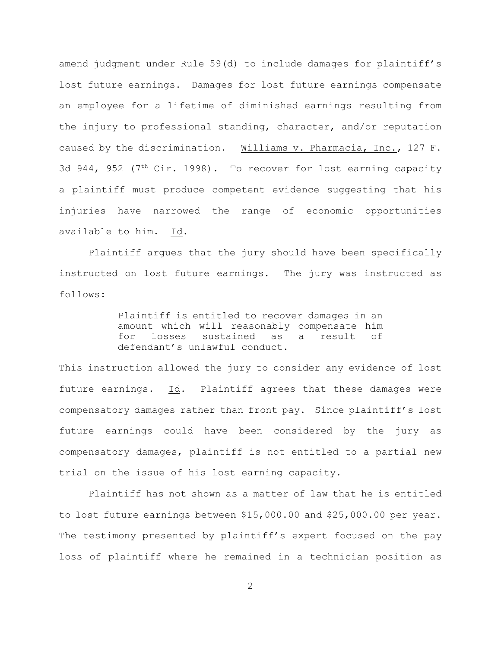amend judgment under Rule 59(d) to include damages for plaintiff's lost future earnings. Damages for lost future earnings compensate an employee for a lifetime of diminished earnings resulting from the injury to professional standing, character, and/or reputation caused by the discrimination. Williams v. Pharmacia, Inc., 127 F. 3d 944, 952 (7<sup>th</sup> Cir. 1998). To recover for lost earning capacity a plaintiff must produce competent evidence suggesting that his injuries have narrowed the range of economic opportunities available to him. Id.

Plaintiff argues that the jury should have been specifically instructed on lost future earnings. The jury was instructed as follows:

> Plaintiff is entitled to recover damages in an amount which will reasonably compensate him for losses sustained as a result of defendant's unlawful conduct.

This instruction allowed the jury to consider any evidence of lost future earnings. Id. Plaintiff agrees that these damages were compensatory damages rather than front pay. Since plaintiff's lost future earnings could have been considered by the jury as compensatory damages, plaintiff is not entitled to a partial new trial on the issue of his lost earning capacity.

Plaintiff has not shown as a matter of law that he is entitled to lost future earnings between \$15,000.00 and \$25,000.00 per year. The testimony presented by plaintiff's expert focused on the pay loss of plaintiff where he remained in a technician position as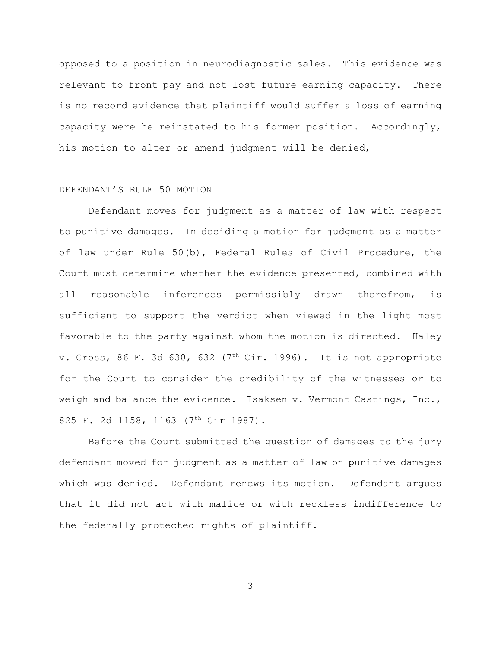opposed to a position in neurodiagnostic sales. This evidence was relevant to front pay and not lost future earning capacity. There is no record evidence that plaintiff would suffer a loss of earning capacity were he reinstated to his former position. Accordingly, his motion to alter or amend judgment will be denied,

## DEFENDANT'S RULE 50 MOTION

Defendant moves for judgment as a matter of law with respect to punitive damages. In deciding a motion for judgment as a matter of law under Rule 50(b), Federal Rules of Civil Procedure, the Court must determine whether the evidence presented, combined with all reasonable inferences permissibly drawn therefrom, is sufficient to support the verdict when viewed in the light most favorable to the party against whom the motion is directed. Haley v. Gross, 86 F. 3d 630, 632 ( $7<sup>th</sup> Cir. 1996$ ). It is not appropriate for the Court to consider the credibility of the witnesses or to weigh and balance the evidence. Isaksen v. Vermont Castings, Inc., 825 F. 2d 1158, 1163 (7<sup>th</sup> Cir 1987).

Before the Court submitted the question of damages to the jury defendant moved for judgment as a matter of law on punitive damages which was denied. Defendant renews its motion. Defendant argues that it did not act with malice or with reckless indifference to the federally protected rights of plaintiff.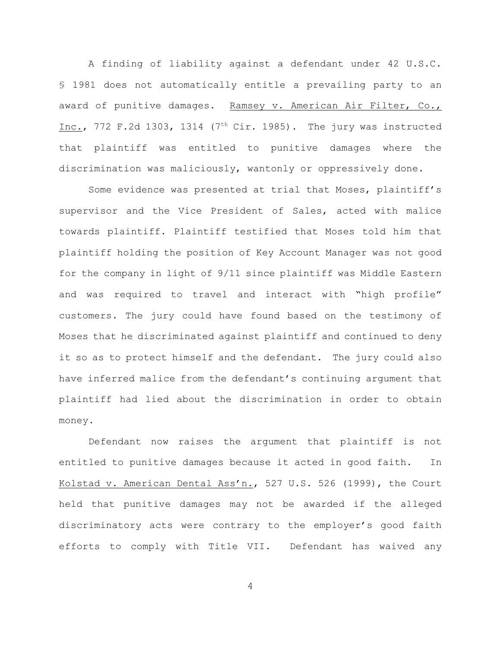A finding of liability against a defendant under 42 U.S.C. § 1981 does not automatically entitle a prevailing party to an award of punitive damages. Ramsey v. American Air Filter, Co., Inc., 772 F.2d 1303, 1314 (7<sup>th</sup> Cir. 1985). The jury was instructed that plaintiff was entitled to punitive damages where the discrimination was maliciously, wantonly or oppressively done.

Some evidence was presented at trial that Moses, plaintiff's supervisor and the Vice President of Sales, acted with malice towards plaintiff. Plaintiff testified that Moses told him that plaintiff holding the position of Key Account Manager was not good for the company in light of 9/11 since plaintiff was Middle Eastern and was required to travel and interact with "high profile" customers. The jury could have found based on the testimony of Moses that he discriminated against plaintiff and continued to deny it so as to protect himself and the defendant. The jury could also have inferred malice from the defendant's continuing argument that plaintiff had lied about the discrimination in order to obtain money.

Defendant now raises the argument that plaintiff is not entitled to punitive damages because it acted in good faith. In Kolstad v. American Dental Ass'n., 527 U.S. 526 (1999), the Court held that punitive damages may not be awarded if the alleged discriminatory acts were contrary to the employer's good faith efforts to comply with Title VII. Defendant has waived any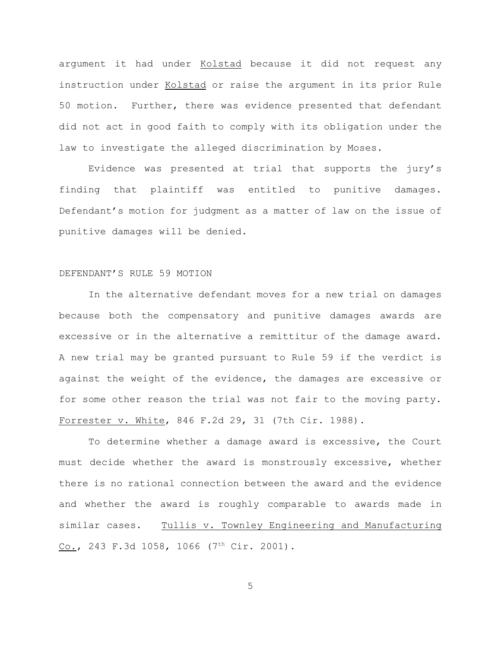argument it had under Kolstad because it did not request any instruction under Kolstad or raise the argument in its prior Rule 50 motion. Further, there was evidence presented that defendant did not act in good faith to comply with its obligation under the law to investigate the alleged discrimination by Moses.

Evidence was presented at trial that supports the jury's finding that plaintiff was entitled to punitive damages. Defendant's motion for judgment as a matter of law on the issue of punitive damages will be denied.

#### DEFENDANT'S RULE 59 MOTION

In the alternative defendant moves for a new trial on damages because both the compensatory and punitive damages awards are excessive or in the alternative a remittitur of the damage award. A new trial may be granted pursuant to Rule 59 if the verdict is against the weight of the evidence, the damages are excessive or for some other reason the trial was not fair to the moving party. Forrester v. White, 846 F.2d 29, 31 (7th Cir. 1988).

To determine whether a damage award is excessive, the Court must decide whether the award is monstrously excessive, whether there is no rational connection between the award and the evidence and whether the award is roughly comparable to awards made in similar cases. Tullis v. Townley Engineering and Manufacturing Co., 243 F.3d 1058, 1066  $(7<sup>th</sup> Cir. 2001)$ .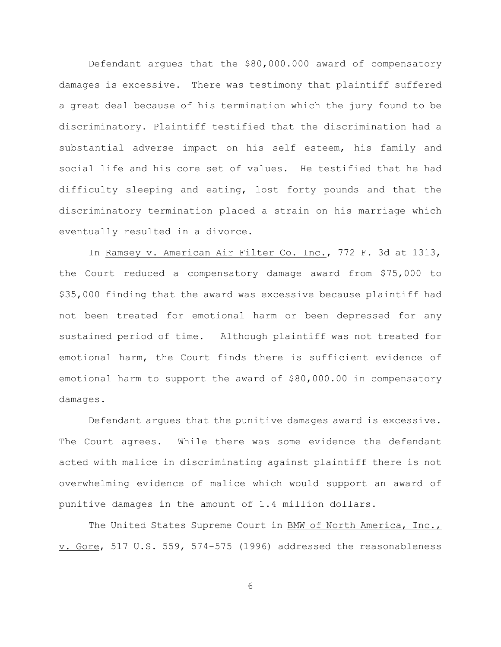Defendant argues that the \$80,000.000 award of compensatory damages is excessive. There was testimony that plaintiff suffered a great deal because of his termination which the jury found to be discriminatory. Plaintiff testified that the discrimination had a substantial adverse impact on his self esteem, his family and social life and his core set of values. He testified that he had difficulty sleeping and eating, lost forty pounds and that the discriminatory termination placed a strain on his marriage which eventually resulted in a divorce.

In Ramsey v. American Air Filter Co. Inc., 772 F. 3d at 1313, the Court reduced a compensatory damage award from \$75,000 to \$35,000 finding that the award was excessive because plaintiff had not been treated for emotional harm or been depressed for any sustained period of time. Although plaintiff was not treated for emotional harm, the Court finds there is sufficient evidence of emotional harm to support the award of \$80,000.00 in compensatory damages.

Defendant argues that the punitive damages award is excessive. The Court agrees. While there was some evidence the defendant acted with malice in discriminating against plaintiff there is not overwhelming evidence of malice which would support an award of punitive damages in the amount of 1.4 million dollars.

The United States Supreme Court in BMW of North America, Inc., v. Gore, 517 U.S. 559, 574-575 (1996) addressed the reasonableness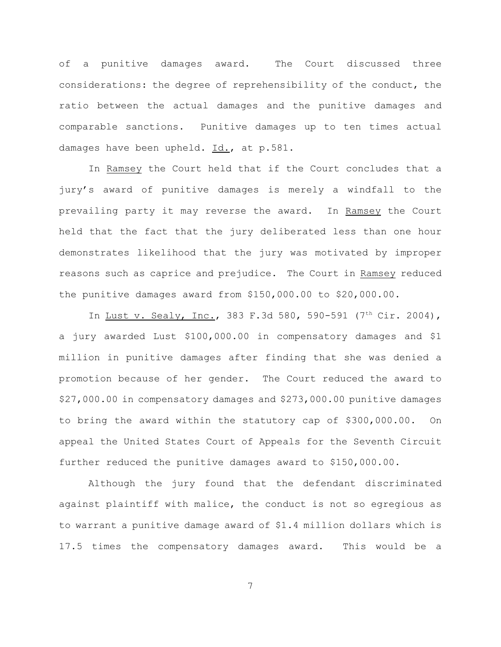of a punitive damages award. The Court discussed three considerations: the degree of reprehensibility of the conduct, the ratio between the actual damages and the punitive damages and comparable sanctions. Punitive damages up to ten times actual damages have been upheld. Id., at p.581.

In Ramsey the Court held that if the Court concludes that a jury's award of punitive damages is merely a windfall to the prevailing party it may reverse the award. In Ramsey the Court held that the fact that the jury deliberated less than one hour demonstrates likelihood that the jury was motivated by improper reasons such as caprice and prejudice. The Court in Ramsey reduced the punitive damages award from \$150,000.00 to \$20,000.00.

In Lust v. Sealy, Inc., 383 F.3d 580, 590-591 (7<sup>th</sup> Cir. 2004), a jury awarded Lust \$100,000.00 in compensatory damages and \$1 million in punitive damages after finding that she was denied a promotion because of her gender. The Court reduced the award to \$27,000.00 in compensatory damages and \$273,000.00 punitive damages to bring the award within the statutory cap of \$300,000.00. On appeal the United States Court of Appeals for the Seventh Circuit further reduced the punitive damages award to \$150,000.00.

Although the jury found that the defendant discriminated against plaintiff with malice, the conduct is not so egregious as to warrant a punitive damage award of \$1.4 million dollars which is 17.5 times the compensatory damages award. This would be a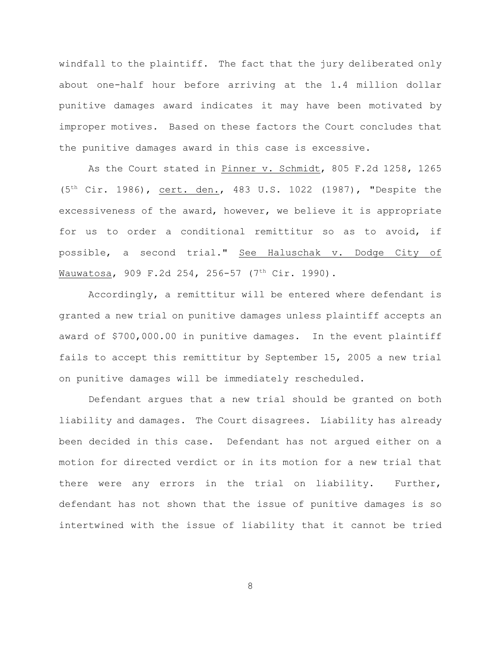windfall to the plaintiff. The fact that the jury deliberated only about one-half hour before arriving at the 1.4 million dollar punitive damages award indicates it may have been motivated by improper motives. Based on these factors the Court concludes that the punitive damages award in this case is excessive.

As the Court stated in Pinner v. Schmidt, 805 F.2d 1258, 1265  $(5<sup>th</sup> Cir. 1986)$ , cert. den., 483 U.S. 1022 (1987), "Despite the excessiveness of the award, however, we believe it is appropriate for us to order a conditional remittitur so as to avoid, if possible, a second trial." See Haluschak v. Dodge City of Wauwatosa, 909 F.2d 254, 256-57 (7<sup>th</sup> Cir. 1990).

Accordingly, a remittitur will be entered where defendant is granted a new trial on punitive damages unless plaintiff accepts an award of \$700,000.00 in punitive damages. In the event plaintiff fails to accept this remittitur by September 15, 2005 a new trial on punitive damages will be immediately rescheduled.

Defendant argues that a new trial should be granted on both liability and damages. The Court disagrees. Liability has already been decided in this case. Defendant has not argued either on a motion for directed verdict or in its motion for a new trial that there were any errors in the trial on liability. Further, defendant has not shown that the issue of punitive damages is so intertwined with the issue of liability that it cannot be tried